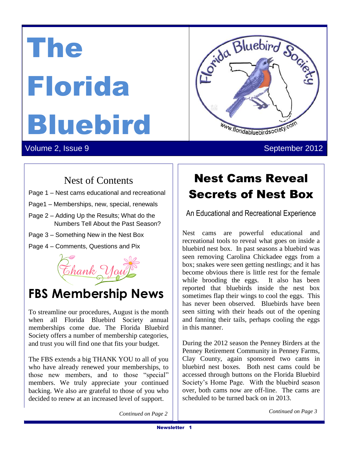The Florida Bluebird



# $\sum_{i=1}^{n} S(i)$

Volume 2, Issue 9 September 2012

### Nest of Contents

- Page 1 Nest cams educational and recreational Dedicated to the Protection of the Protection of the Protection of the Protection of the Protection of the Pro And Conservation of Bluebirds in Bluebirds in Bluebirds in Bluebirds in Bluebirds in Bluebirds in Bluebirds in Bluebirds in Bluebirds in Bluebirds in Bluebirds in Bluebirds in Bluebirds in Bluebirds in Bluebirds in Bluebir
- Page1 Memberships, new, special, renewals  $\frac{1}{2}$
- Page 2 Adding Up the Results; What do the Numbers Tell About the Past Season?
- Page 3 Something New in the Nest Box
- Page 4 Comments, Questions and Pix



## **FBS Membership News**

To streamline our procedures, August is the month when all Florida Bluebird Society annual memberships come due. The Florida Bluebird Society offers a number of membership categories, and trust you will find one that fits your budget.

The FBS extends a big THANK YOU to all of you who have already renewed your memberships, to those new members, and to those "special" members. We truly appreciate your continued backing. We also are grateful to those of you who decided to renew at an increased level of support.

## Nest Cams Reveal Secrets of Nest Box

An Educational and Recreational Experience

Nest cams are powerful educational and recreational tools to reveal what goes on inside a bluebird nest box. In past seasons a bluebird was seen removing Carolina Chickadee eggs from a box; snakes were seen getting nestlings; and it has become obvious there is little rest for the female while brooding the eggs. It also has been reported that bluebirds inside the nest box sometimes flap their wings to cool the eggs. This has never been observed. Bluebirds have been seen sitting with their heads out of the opening and fanning their tails, perhaps cooling the eggs in this manner.

During the 2012 season the Penney Birders at the Penney Retirement Community in Penney Farms, Clay County, again sponsored two cams in bluebird nest boxes. Both nest cams could be accessed through buttons on the Florida Bluebird Society's Home Page. With the bluebird season over, both cams now are off-line. The cams are scheduled to be turned back on in 2013.

*Continued on Page 3 Continued on Page 2*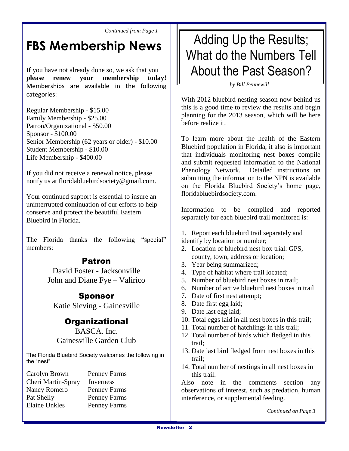*Continued from Page 1*

## **FBS Membership News**

If you have not already done so, we ask that you **please renew your membership today!** Memberships are available in the following categories:

Regular Membership - \$15.00 Family Membership - \$25.00 Patron/Organizational - \$50.00 Sponsor - \$100.00 Senior Membership (62 years or older) - \$10.00 Student Membership - \$10.00 Life Membership - \$400.00

If you did not receive a renewal notice, please notify us at floridabluebirdsociety@gmail.com.

Your continued support is essential to insure an uninterrupted continuation of our efforts to help conserve and protect the beautiful Eastern Bluebird in Florida.

The Florida thanks the following "special" members:

#### Patron

David Foster - Jacksonville John and Diane Fye – Valirico

#### Sponsor

Katie Sieving - Gainesville

#### **Organizational**

BASCA. Inc. Gainesville Garden Club

The Florida Bluebird Society welcomes the following in the "nest"

Carolyn Brown Penney Farms Cheri Martin-Spray Inverness Nancy Romero Penney Farms Pat Shelly Penney Farms Elaine Unkles Penney Farms

## Adding Up the Results; What do the Numbers Tell About the Past Season?

*by Bill Pennewill*

With 2012 bluebird nesting season now behind us this is a good time to review the results and begin planning for the 2013 season, which will be here before realize it.

To learn more about the health of the Eastern Bluebird population in Florida, it also is important that individuals monitoring nest boxes compile and submit requested information to the National Phenology Network. Detailed instructions on submitting the information to the NPN is available on the Florida Bluebird Society's home page, floridabluebirdsociety.com.

Information to be compiled and reported separately for each bluebird trail monitored is:

- 1. Report each bluebird trail separately and identify by location or number;
- 2. Location of bluebird nest box trial: GPS, county, town, address or location;
- 3. Year being summarized;
- 4. Type of habitat where trail located;
- 5. Number of bluebird nest boxes in trail;
- 6. Number of active bluebird nest boxes in trail
- 7. Date of first nest attempt;
- 8. Date first egg laid;
- 9. Date last egg laid;
- 10. Total eggs laid in all nest boxes in this trail;
- 11. Total number of hatchlings in this trail;
- 12. Total number of birds which fledged in this trail;
- 13. Date last bird fledged from nest boxes in this trail;
- 14. Total number of nestings in all nest boxes in this trail.

Also note in the comments section any observations of interest, such as predation, human interference, or supplemental feeding.

*Continued on Page 3*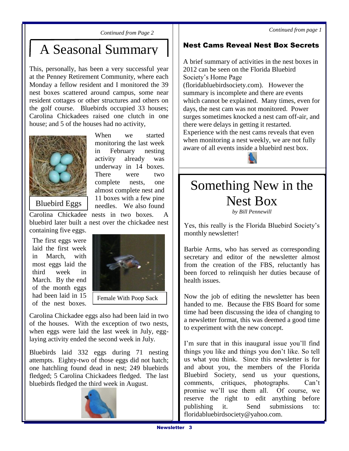*Continued from page 1*

*Continued from Page 2*

## A Seasonal Summary

This, personally, has been a very successful year at the Penney Retirement Community, where each Monday a fellow resident and I monitored the 39 nest boxes scattered around campus, some near resident cottages or other structures and others on the golf course. Bluebirds occupied 33 houses; Carolina Chickadees raised one clutch in one house; and 5 of the houses had no activity,



When we started monitoring the last week in February nesting activity already was underway in 14 boxes. There were two complete nests, one almost complete nest and 11 boxes with a few pine needles. We also found

Bluebird Eggs

Carolina Chickadee nests in two boxes. A bluebird later built a nest over the chickadee nest

containing five eggs. The first eggs were laid the first week in March, with most eggs laid the third week in March. By the end of the month eggs had been laid in 15 of the nest boxes.



Carolina Chickadee eggs also had been laid in two Carolina Chickadee Lafolina Chickadee eggs also had been faid in two<br>of the houses. With the exception of two nests, of the houses. With the exception of two nests,<br>when eggs were laid the last week in July, eggwhen eggs were faid the fast week in July, and the second week in July. aying activity ended

Bluebirds laid 332 eggs during 71 nesting attempts. Eighty-two of those eggs did not hatch; one hatchling found dead in nest; 249 bluebirds fledged; 5 Carolina Chickadees fledged. The last bluebirds fledged the third week in August. week in July.



#### Nest Cams Reveal Nest Box Secrets

A brief summary of activities in the nest boxes in 2012 can be seen on the Florida Bluebird Society's Home Page (floridabluebirdsociety.com). However the summary is incomplete and there are events which cannot be explained. Many times, even for days, the nest cam was not monitored. Power surges sometimes knocked a nest cam off-air, and there were delays in getting it restarted. Experience with the nest cams reveals that even when monitoring a nest weekly, we are not fully



aware of all events inside a bluebird nest box.

## Something New in the Nest Box

*by Bill Pennewill*

Yes, this really is the Florida Bluebird Society's monthly newsletter!

Barbie Arms, who has served as corresponding secretary and editor of the newsletter almost from the creation of the FBS, reluctantly has been forced to relinquish her duties because of health issues.

Now the job of editing the newsletter has been handed to me. Because the FBS Board for some time had been discussing the idea of changing to a newsletter format, this was deemed a good time to experiment with the new concept.

I'm sure that in this inaugural issue you'll find things you like and things you don't like. So tell us what you think. Since this newsletter is for and about you, the members of the Florida Bluebird Society, send us your questions, comments, critiques, photographs. Can't promise we'll use them all. Of course, we reserve the right to edit anything before publishing it. Send submissions to: floridabluebirdsociety@yahoo.com.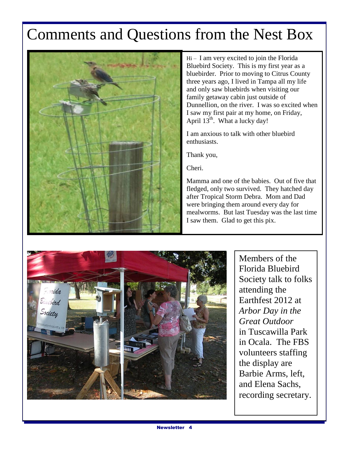## Comments and Questions from the Nest Box



Hi – I am very excited to join the Florida Bluebird Society. This is my first year as a bluebirder. Prior to moving to Citrus County three years ago, I lived in Tampa all my life and only saw bluebirds when visiting our family getaway cabin just outside of Dunnellion, on the river. I was so excited when I saw my first pair at my home, on Friday, April 13<sup>th</sup>. What a lucky day!

I am anxious to talk with other bluebird enthusiasts.

Thank you,

Cheri.

Mamma and one of the babies. Out of five that fledged, only two survived. They hatched day after Tropical Storm Debra. Mom and Dad were bringing them around every day for mealworms. But last Tuesday was the last time I saw them. Glad to get this pix.



Members of the Florida Bluebird Society talk to folks attending the Earthfest 2012 at *Arbor Day in the Great Outdoor* in Tuscawilla Park in Ocala. The FBS volunteers staffing the display are Barbie Arms, left, and Elena Sachs, recording secretary.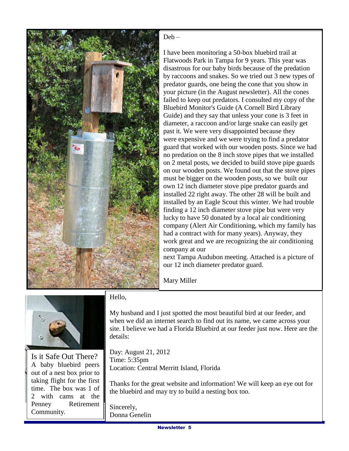

#### Deb –

I have been monitoring a 50-box bluebird trail at Flatwoods Park in Tampa for 9 years. This year was disastrous for our baby birds because of the predation by raccoons and snakes. So we tried out 3 new types of predator guards, one being the cone that you show in your picture (in the August newsletter). All the cones failed to keep out predators. I consulted my copy of the Bluebird Monitor's Guide (A Cornell Bird Library Guide) and they say that unless your cone is 3 feet in diameter, a raccoon and/or large snake can easily get past it. We were very disappointed because they were expensive and we were trying to find a predator guard that worked with our wooden posts. Since we had no predation on the 8 inch stove pipes that we installed on 2 metal posts, we decided to build stove pipe guards on our wooden posts. We found out that the stove pipes must be bigger on the wooden posts, so we built our own 12 inch diameter stove pipe predator guards and installed 22 right away. The other 28 will be built and installed by an Eagle Scout this winter. We had trouble finding a 12 inch diameter stove pipe but were very lucky to have 50 donated by a local air conditioning company (Alert Air Conditioning, which my family has had a contract with for many years). Anyway, they work great and we are recognizing the air conditioning company at our

next Tampa Audubon meeting. Attached is a picture of our 12 inch diameter predator guard.

Mary Miller



Is it Safe Out There? A baby bluebird peers out of a nest box prior to taking flight for the first time. The box was 1 of 2 with cams at the Penney Retirement Community.

Hello,

My husband and I just spotted the most beautiful bird at our feeder, and when we did an internet search to find out its name, we came across your site. I believe we had a Florida Bluebird at our feeder just now. Here are the details:

Day: August 21, 2012 Time: 5:35pm Location: Central Merritt Island, Florida

Thanks for the great website and information! We will keep an eye out for the bluebird and may try to build a nesting box too.

Sincerely, Donna Genelin